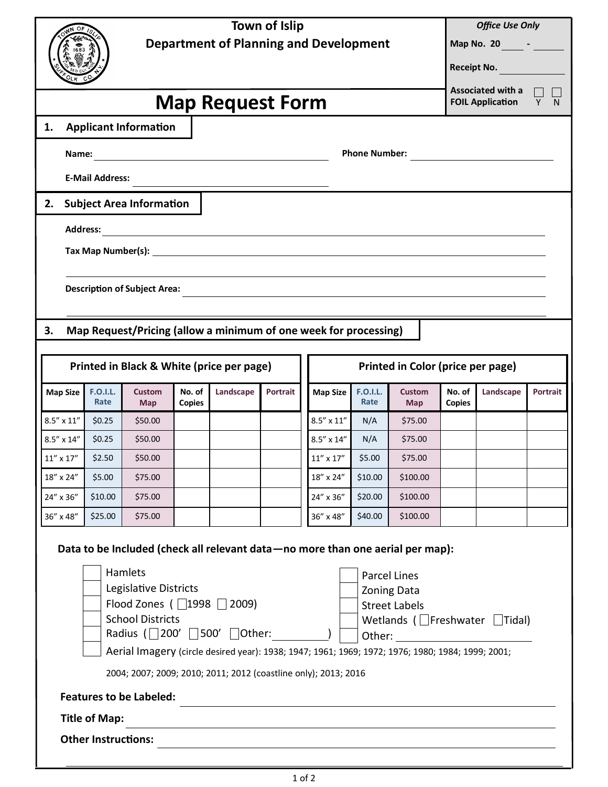| ОF<br>1683                                                                |                                                                                                                                                                      |                         |                             |                         | <b>Town of Islip</b><br><b>Department of Planning and Development</b> |          |                                               |                      |                                            |                             |                                                     | <b>Office Use Only</b><br>Map No. 20 _______ - _______<br>Receipt No. |          |  |
|---------------------------------------------------------------------------|----------------------------------------------------------------------------------------------------------------------------------------------------------------------|-------------------------|-----------------------------|-------------------------|-----------------------------------------------------------------------|----------|-----------------------------------------------|----------------------|--------------------------------------------|-----------------------------|-----------------------------------------------------|-----------------------------------------------------------------------|----------|--|
| <b>Map Request Form</b>                                                   |                                                                                                                                                                      |                         |                             |                         |                                                                       |          |                                               |                      |                                            |                             | <b>Associated with a</b><br><b>FOIL Application</b> | Y<br>N                                                                |          |  |
| 1.                                                                        | <b>Applicant Information</b>                                                                                                                                         |                         |                             |                         |                                                                       |          |                                               |                      |                                            |                             |                                                     |                                                                       |          |  |
|                                                                           |                                                                                                                                                                      |                         |                             |                         |                                                                       |          |                                               |                      |                                            |                             |                                                     |                                                                       |          |  |
|                                                                           | <b>E-Mail Address:</b>                                                                                                                                               |                         |                             |                         |                                                                       |          |                                               |                      |                                            |                             |                                                     |                                                                       |          |  |
|                                                                           | <u> 1989 - Johann Stoff, deutscher Stoff, der Stoff, der Stoff, der Stoff, der Stoff, der Stoff, der Stoff, der S</u><br><b>Subject Area Information</b><br>2.       |                         |                             |                         |                                                                       |          |                                               |                      |                                            |                             |                                                     |                                                                       |          |  |
|                                                                           |                                                                                                                                                                      |                         |                             |                         |                                                                       |          |                                               |                      |                                            |                             |                                                     |                                                                       |          |  |
|                                                                           |                                                                                                                                                                      |                         |                             |                         |                                                                       |          |                                               |                      |                                            |                             |                                                     |                                                                       |          |  |
|                                                                           |                                                                                                                                                                      |                         |                             |                         |                                                                       |          |                                               |                      |                                            |                             |                                                     |                                                                       |          |  |
|                                                                           | <b>Description of Subject Area:</b><br>and the control of the control of the control of the control of the control of the control of the control of the              |                         |                             |                         |                                                                       |          |                                               |                      |                                            |                             |                                                     |                                                                       |          |  |
|                                                                           |                                                                                                                                                                      |                         |                             |                         |                                                                       |          |                                               |                      |                                            |                             |                                                     |                                                                       |          |  |
| Map Request/Pricing (allow a minimum of one week for processing)<br>3.    |                                                                                                                                                                      |                         |                             |                         |                                                                       |          |                                               |                      |                                            |                             |                                                     |                                                                       |          |  |
|                                                                           | Printed in Color (price per page)<br>Printed in Black & White (price per page)                                                                                       |                         |                             |                         |                                                                       |          |                                               |                      |                                            |                             |                                                     |                                                                       |          |  |
|                                                                           |                                                                                                                                                                      |                         |                             |                         |                                                                       |          |                                               |                      |                                            |                             |                                                     |                                                                       |          |  |
| <b>Map Size</b>                                                           |                                                                                                                                                                      | <b>F.O.I.L.</b><br>Rate | <b>Custom</b><br><b>Map</b> | No. of<br><b>Copies</b> | Landscape                                                             | Portrait | <b>Map Size</b>                               |                      | <b>F.O.I.L.</b><br>Rate                    | <b>Custom</b><br><b>Map</b> | No. of<br><b>Copies</b>                             | Landscape                                                             | Portrait |  |
| $8.5'' \times 11''$                                                       |                                                                                                                                                                      | \$0.25                  | \$50.00                     |                         |                                                                       |          | $8.5^{\prime\prime} \times 11^{\prime\prime}$ |                      | N/A                                        | \$75.00                     |                                                     |                                                                       |          |  |
|                                                                           | $8.5'' \times 14''$                                                                                                                                                  | \$0.25                  | \$50.00                     |                         |                                                                       |          | $8.5'' \times 14''$                           |                      | N/A                                        | \$75.00                     |                                                     |                                                                       |          |  |
| $11^{\prime\prime} \times 17^{\prime\prime}$                              |                                                                                                                                                                      | \$2.50                  | \$50.00                     |                         |                                                                       |          | $11^{\prime\prime} \times 17^{\prime\prime}$  |                      | \$5.00                                     | \$75.00                     |                                                     |                                                                       |          |  |
| 18" x 24"                                                                 |                                                                                                                                                                      | \$5.00                  | \$75.00                     |                         |                                                                       |          | 18" x 24"                                     |                      | \$10.00                                    | \$100.00                    |                                                     |                                                                       |          |  |
| 24" x 36"                                                                 |                                                                                                                                                                      | \$10.00                 | \$75.00                     |                         |                                                                       |          | 24" x 36"                                     |                      | \$20.00                                    | \$100.00                    |                                                     |                                                                       |          |  |
| 36" x 48"                                                                 |                                                                                                                                                                      | \$25.00                 | \$75.00                     |                         |                                                                       |          | 36" x 48"                                     |                      | \$40.00                                    | \$100.00                    |                                                     |                                                                       |          |  |
|                                                                           | Data to be Included (check all relevant data - no more than one aerial per map):                                                                                     |                         |                             |                         |                                                                       |          |                                               |                      |                                            |                             |                                                     |                                                                       |          |  |
|                                                                           |                                                                                                                                                                      |                         | Hamlets                     |                         |                                                                       |          |                                               |                      |                                            | <b>Parcel Lines</b>         |                                                     |                                                                       |          |  |
| Legislative Districts                                                     |                                                                                                                                                                      |                         |                             |                         |                                                                       |          |                                               | <b>Zoning Data</b>   |                                            |                             |                                                     |                                                                       |          |  |
| Flood Zones (□1998 □ 2009)                                                |                                                                                                                                                                      |                         |                             |                         |                                                                       |          |                                               | <b>Street Labels</b> |                                            |                             |                                                     |                                                                       |          |  |
| <b>School Districts</b><br>Radius ( $\Box$ 200' $\Box$ 500' $\Box$ Other: |                                                                                                                                                                      |                         |                             |                         |                                                                       |          |                                               |                      | Wetlands ( $\Box$ Freshwater $\Box$ Tidal) |                             |                                                     |                                                                       |          |  |
|                                                                           |                                                                                                                                                                      |                         |                             |                         |                                                                       |          |                                               |                      |                                            |                             |                                                     |                                                                       |          |  |
|                                                                           | Aerial Imagery (circle desired year): 1938; 1947; 1961; 1969; 1972; 1976; 1980; 1984; 1999; 2001;<br>2004; 2007; 2009; 2010; 2011; 2012 (coastline only); 2013; 2016 |                         |                             |                         |                                                                       |          |                                               |                      |                                            |                             |                                                     |                                                                       |          |  |
| <b>Features to be Labeled:</b>                                            |                                                                                                                                                                      |                         |                             |                         |                                                                       |          |                                               |                      |                                            |                             |                                                     |                                                                       |          |  |
|                                                                           |                                                                                                                                                                      | <b>Title of Map:</b>    |                             |                         |                                                                       |          |                                               |                      |                                            |                             |                                                     |                                                                       |          |  |
|                                                                           |                                                                                                                                                                      |                         |                             |                         |                                                                       |          |                                               |                      |                                            |                             |                                                     |                                                                       |          |  |
|                                                                           | <b>Other Instructions:</b>                                                                                                                                           |                         |                             |                         |                                                                       |          |                                               |                      |                                            |                             |                                                     |                                                                       |          |  |